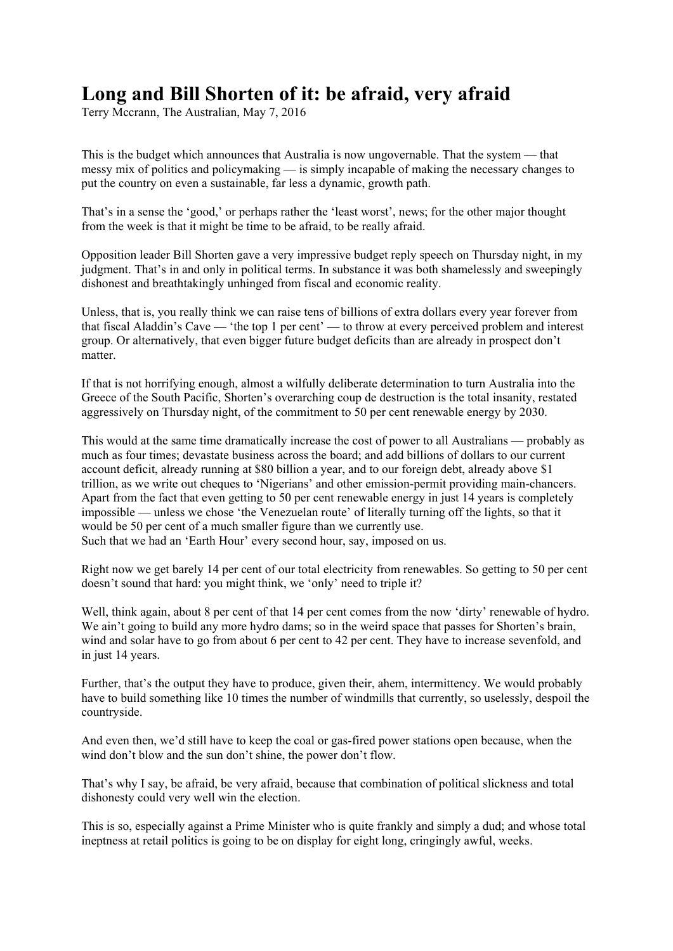## **Long and Bill Shorten of it: be afraid, very afraid**

Terry Mccrann, The Australian, May 7, 2016

This is the budget which announces that Australia is now ungovernable. That the system — that messy mix of politics and policymaking — is simply incapable of making the necessary changes to put the country on even a sustainable, far less a dynamic, growth path.

That's in a sense the 'good,' or perhaps rather the 'least worst', news; for the other major thought from the week is that it might be time to be afraid, to be really afraid.

Opposition leader Bill Shorten gave a very impressive budget reply speech on Thursday night, in my judgment. That's in and only in political terms. In substance it was both shamelessly and sweepingly dishonest and breathtakingly unhinged from fiscal and economic reality.

Unless, that is, you really think we can raise tens of billions of extra dollars every year forever from that fiscal Aladdin's Cave — 'the top 1 per cent' — to throw at every perceived problem and interest group. Or alternatively, that even bigger future budget deficits than are already in prospect don't matter.

If that is not horrifying enough, almost a wilfully deliberate determination to turn Australia into the Greece of the South Pacific, Shorten's overarching coup de destruction is the total insanity, restated aggressively on Thursday night, of the commitment to 50 per cent renewable energy by 2030.

This would at the same time dramatically increase the cost of power to all Australians — probably as much as four times; devastate business across the board; and add billions of dollars to our current account deficit, already running at \$80 billion a year, and to our foreign debt, already above \$1 trillion, as we write out cheques to 'Nigerians' and other emission-permit providing main-chancers. Apart from the fact that even getting to 50 per cent renewable energy in just 14 years is completely impossible — unless we chose 'the Venezuelan route' of literally turning off the lights, so that it would be 50 per cent of a much smaller figure than we currently use. Such that we had an 'Earth Hour' every second hour, say, imposed on us.

Right now we get barely 14 per cent of our total electricity from renewables. So getting to 50 per cent doesn't sound that hard: you might think, we 'only' need to triple it?

Well, think again, about 8 per cent of that 14 per cent comes from the now 'dirty' renewable of hydro. We ain't going to build any more hydro dams; so in the weird space that passes for Shorten's brain, wind and solar have to go from about 6 per cent to 42 per cent. They have to increase sevenfold, and in just 14 years.

Further, that's the output they have to produce, given their, ahem, intermittency. We would probably have to build something like 10 times the number of windmills that currently, so uselessly, despoil the countryside.

And even then, we'd still have to keep the coal or gas-fired power stations open because, when the wind don't blow and the sun don't shine, the power don't flow.

That's why I say, be afraid, be very afraid, because that combination of political slickness and total dishonesty could very well win the election.

This is so, especially against a Prime Minister who is quite frankly and simply a dud; and whose total ineptness at retail politics is going to be on display for eight long, cringingly awful, weeks.